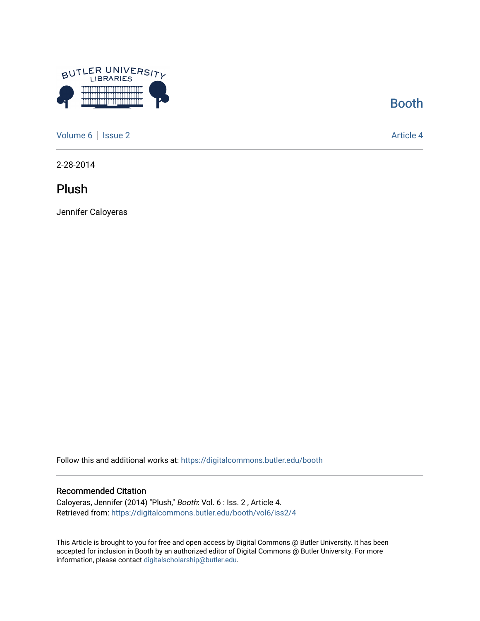

[Booth](https://digitalcommons.butler.edu/booth) 

[Volume 6](https://digitalcommons.butler.edu/booth/vol6) | [Issue 2](https://digitalcommons.butler.edu/booth/vol6/iss2) Article 4

2-28-2014

Plush

Jennifer Caloyeras

Follow this and additional works at: [https://digitalcommons.butler.edu/booth](https://digitalcommons.butler.edu/booth?utm_source=digitalcommons.butler.edu%2Fbooth%2Fvol6%2Fiss2%2F4&utm_medium=PDF&utm_campaign=PDFCoverPages) 

#### Recommended Citation

Caloyeras, Jennifer (2014) "Plush," Booth: Vol. 6 : Iss. 2 , Article 4. Retrieved from: [https://digitalcommons.butler.edu/booth/vol6/iss2/4](https://digitalcommons.butler.edu/booth/vol6/iss2/4?utm_source=digitalcommons.butler.edu%2Fbooth%2Fvol6%2Fiss2%2F4&utm_medium=PDF&utm_campaign=PDFCoverPages) 

This Article is brought to you for free and open access by Digital Commons @ Butler University. It has been accepted for inclusion in Booth by an authorized editor of Digital Commons @ Butler University. For more information, please contact [digitalscholarship@butler.edu](mailto:digitalscholarship@butler.edu).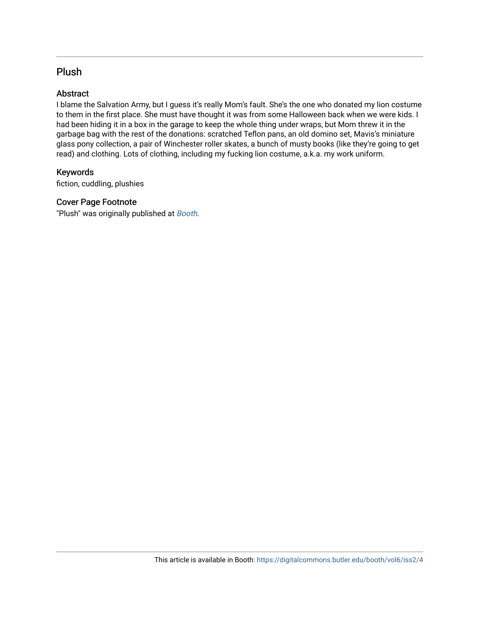### Plush

#### **Abstract**

I blame the Salvation Army, but I guess it's really Mom's fault. She's the one who donated my lion costume to them in the first place. She must have thought it was from some Halloween back when we were kids. I had been hiding it in a box in the garage to keep the whole thing under wraps, but Mom threw it in the garbage bag with the rest of the donations: scratched Teflon pans, an old domino set, Mavis's miniature glass pony collection, a pair of Winchester roller skates, a bunch of musty books (like they're going to get read) and clothing. Lots of clothing, including my fucking lion costume, a.k.a. my work uniform.

#### Keywords

fiction, cuddling, plushies

#### Cover Page Footnote

"Plush" was originally published at **[Booth](http://booth.butler.edu/2014/02/28/plush/)**.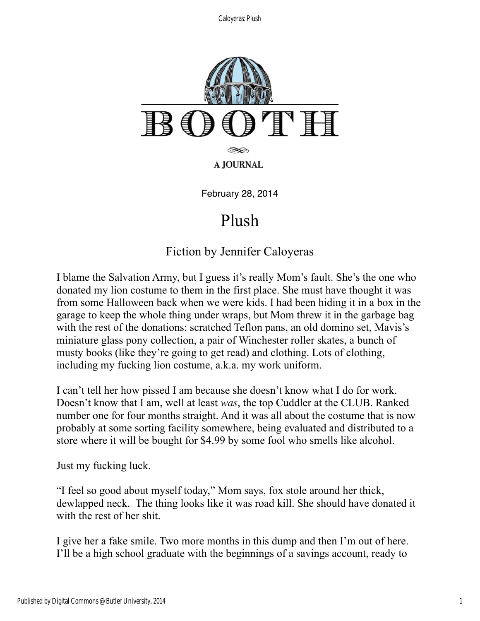Caloyeras: Plush



**A JOURNAL** 

February 28, 2014

# Plush

## Fiction by Jennifer Caloyeras

I blame the Salvation Army, but I guess it's really Mom's fault. She's the one who donated my lion costume to them in the first place. She must have thought it was from some Halloween back when we were kids. I had been hiding it in a box in the garage to keep the whole thing under wraps, but Mom threw it in the garbage bag with the rest of the donations: scratched Teflon pans, an old domino set, Mavis's miniature glass pony collection, a pair of Winchester roller skates, a bunch of musty books (like they're going to get read) and clothing. Lots of clothing, including my fucking lion costume, a.k.a. my work uniform.

I can't tell her how pissed I am because she doesn't know what I do for work. Doesn't know that I am, well at least *was*, the top Cuddler at the CLUB. Ranked number one for four months straight. And it was all about the costume that is now probably at some sorting facility somewhere, being evaluated and distributed to a store where it will be bought for \$4.99 by some fool who smells like alcohol.

Just my fucking luck.

"I feel so good about myself today," Mom says, fox stole around her thick, dewlapped neck. The thing looks like it was road kill. She should have donated it with the rest of her shit.

I give her a fake smile. Two more months in this dump and then I'm out of here. I'll be a high school graduate with the beginnings of a savings account, ready to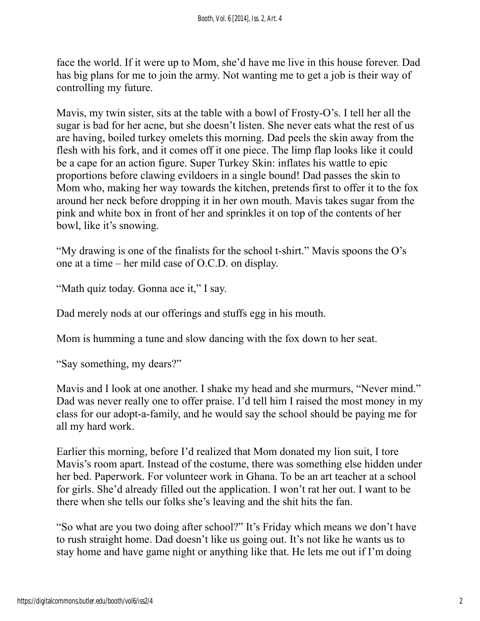face the world. If it were up to Mom, she'd have me live in this house forever. Dad has big plans for me to join the army. Not wanting me to get a job is their way of controlling my future.

Mavis, my twin sister, sits at the table with a bowl of Frosty-O's. I tell her all the sugar is bad for her acne, but she doesn't listen. She never eats what the rest of us are having, boiled turkey omelets this morning. Dad peels the skin away from the flesh with his fork, and it comes off it one piece. The limp flap looks like it could be a cape for an action figure. Super Turkey Skin: inflates his wattle to epic proportions before clawing evildoers in a single bound! Dad passes the skin to Mom who, making her way towards the kitchen, pretends first to offer it to the fox around her neck before dropping it in her own mouth. Mavis takes sugar from the pink and white box in front of her and sprinkles it on top of the contents of her bowl, like it's snowing.

"My drawing is one of the finalists for the school t-shirt." Mavis spoons the O's one at a time – her mild case of O.C.D. on display.

"Math quiz today. Gonna ace it," I say.

Dad merely nods at our offerings and stuffs egg in his mouth.

Mom is humming a tune and slow dancing with the fox down to her seat.

"Say something, my dears?"

Mavis and I look at one another. I shake my head and she murmurs, "Never mind." Dad was never really one to offer praise. I'd tell him I raised the most money in my class for our adopt-a-family, and he would say the school should be paying me for all my hard work.

Earlier this morning, before I'd realized that Mom donated my lion suit, I tore Mavis's room apart. Instead of the costume, there was something else hidden under her bed. Paperwork. For volunteer work in Ghana. To be an art teacher at a school for girls. She'd already filled out the application. I won't rat her out. I want to be there when she tells our folks she's leaving and the shit hits the fan.

"So what are you two doing after school?" It's Friday which means we don't have to rush straight home. Dad doesn't like us going out. It's not like he wants us to stay home and have game night or anything like that. He lets me out if I'm doing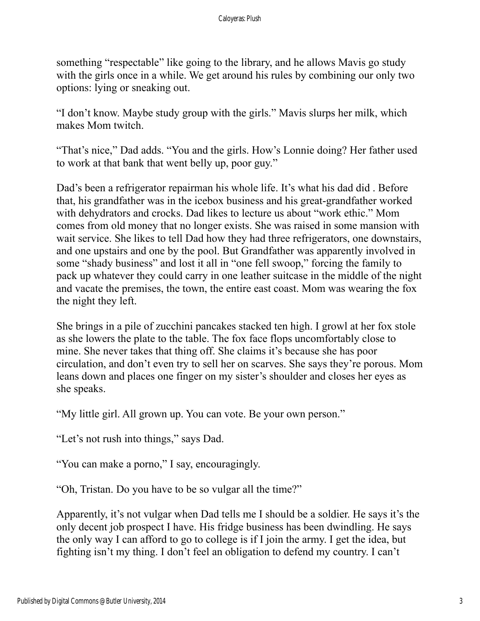something "respectable" like going to the library, and he allows Mavis go study with the girls once in a while. We get around his rules by combining our only two options: lying or sneaking out.

"I don't know. Maybe study group with the girls." Mavis slurps her milk, which makes Mom twitch.

"That's nice," Dad adds. "You and the girls. How's Lonnie doing? Her father used to work at that bank that went belly up, poor guy."

Dad's been a refrigerator repairman his whole life. It's what his dad did . Before that, his grandfather was in the icebox business and his great-grandfather worked with dehydrators and crocks. Dad likes to lecture us about "work ethic." Mom comes from old money that no longer exists. She was raised in some mansion with wait service. She likes to tell Dad how they had three refrigerators, one downstairs, and one upstairs and one by the pool. But Grandfather was apparently involved in some "shady business" and lost it all in "one fell swoop," forcing the family to pack up whatever they could carry in one leather suitcase in the middle of the night and vacate the premises, the town, the entire east coast. Mom was wearing the fox the night they left.

She brings in a pile of zucchini pancakes stacked ten high. I growl at her fox stole as she lowers the plate to the table. The fox face flops uncomfortably close to mine. She never takes that thing off. She claims it's because she has poor circulation, and don't even try to sell her on scarves. She says they're porous. Mom leans down and places one finger on my sister's shoulder and closes her eyes as she speaks.

"My little girl. All grown up. You can vote. Be your own person."

"Let's not rush into things," says Dad.

"You can make a porno," I say, encouragingly.

"Oh, Tristan. Do you have to be so vulgar all the time?"

Apparently, it's not vulgar when Dad tells me I should be a soldier. He says it's the only decent job prospect I have. His fridge business has been dwindling. He says the only way I can afford to go to college is if I join the army. I get the idea, but fighting isn't my thing. I don't feel an obligation to defend my country. I can't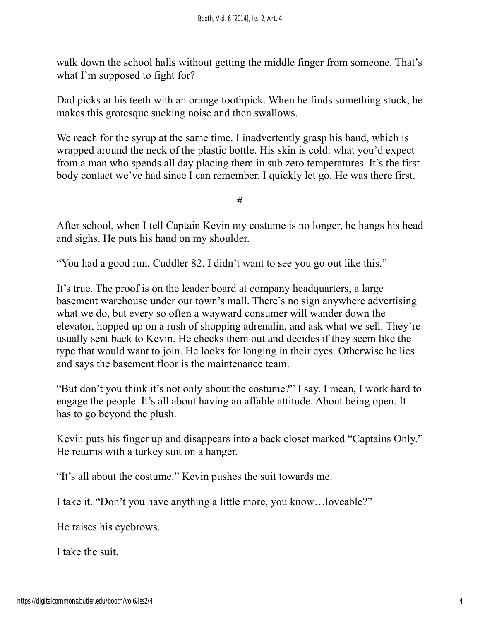walk down the school halls without getting the middle finger from someone. That's what I'm supposed to fight for?

Dad picks at his teeth with an orange toothpick. When he finds something stuck, he makes this grotesque sucking noise and then swallows.

We reach for the syrup at the same time. I inadvertently grasp his hand, which is wrapped around the neck of the plastic bottle. His skin is cold: what you'd expect from a man who spends all day placing them in sub zero temperatures. It's the first body contact we've had since I can remember. I quickly let go. He was there first.

#

After school, when I tell Captain Kevin my costume is no longer, he hangs his head and sighs. He puts his hand on my shoulder.

"You had a good run, Cuddler 82. I didn't want to see you go out like this."

It's true. The proof is on the leader board at company headquarters, a large basement warehouse under our town's mall. There's no sign anywhere advertising what we do, but every so often a wayward consumer will wander down the elevator, hopped up on a rush of shopping adrenalin, and ask what we sell. They're usually sent back to Kevin. He checks them out and decides if they seem like the type that would want to join. He looks for longing in their eyes. Otherwise he lies and says the basement floor is the maintenance team.

"But don't you think it's not only about the costume?" I say. I mean, I work hard to engage the people. It's all about having an affable attitude. About being open. It has to go beyond the plush.

Kevin puts his finger up and disappears into a back closet marked "Captains Only." He returns with a turkey suit on a hanger.

"It's all about the costume." Kevin pushes the suit towards me.

I take it. "Don't you have anything a little more, you know…loveable?"

He raises his eyebrows.

I take the suit.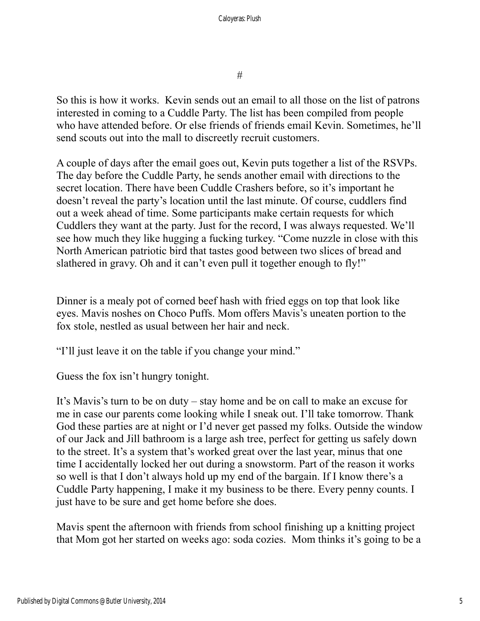#

So this is how it works. Kevin sends out an email to all those on the list of patrons interested in coming to a Cuddle Party. The list has been compiled from people who have attended before. Or else friends of friends email Kevin. Sometimes, he'll send scouts out into the mall to discreetly recruit customers.

A couple of days after the email goes out, Kevin puts together a list of the RSVPs. The day before the Cuddle Party, he sends another email with directions to the secret location. There have been Cuddle Crashers before, so it's important he doesn't reveal the party's location until the last minute. Of course, cuddlers find out a week ahead of time. Some participants make certain requests for which Cuddlers they want at the party. Just for the record, I was always requested. We'll see how much they like hugging a fucking turkey. "Come nuzzle in close with this North American patriotic bird that tastes good between two slices of bread and slathered in gravy. Oh and it can't even pull it together enough to fly!"

Dinner is a mealy pot of corned beef hash with fried eggs on top that look like eyes. Mavis noshes on Choco Puffs. Mom offers Mavis's uneaten portion to the fox stole, nestled as usual between her hair and neck.

"I'll just leave it on the table if you change your mind."

Guess the fox isn't hungry tonight.

It's Mavis's turn to be on duty – stay home and be on call to make an excuse for me in case our parents come looking while I sneak out. I'll take tomorrow. Thank God these parties are at night or I'd never get passed my folks. Outside the window of our Jack and Jill bathroom is a large ash tree, perfect for getting us safely down to the street. It's a system that's worked great over the last year, minus that one time I accidentally locked her out during a snowstorm. Part of the reason it works so well is that I don't always hold up my end of the bargain. If I know there's a Cuddle Party happening, I make it my business to be there. Every penny counts. I just have to be sure and get home before she does.

Mavis spent the afternoon with friends from school finishing up a knitting project that Mom got her started on weeks ago: soda cozies. Mom thinks it's going to be a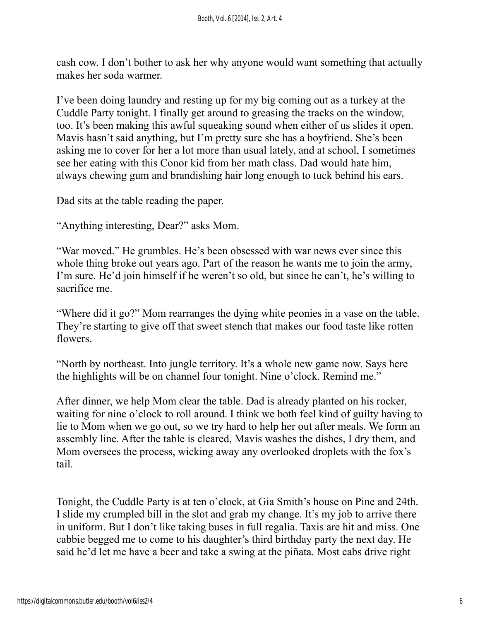cash cow. I don't bother to ask her why anyone would want something that actually makes her soda warmer.

I've been doing laundry and resting up for my big coming out as a turkey at the Cuddle Party tonight. I finally get around to greasing the tracks on the window, too. It's been making this awful squeaking sound when either of us slides it open. Mavis hasn't said anything, but I'm pretty sure she has a boyfriend. She's been asking me to cover for her a lot more than usual lately, and at school, I sometimes see her eating with this Conor kid from her math class. Dad would hate him, always chewing gum and brandishing hair long enough to tuck behind his ears.

Dad sits at the table reading the paper.

"Anything interesting, Dear?" asks Mom.

"War moved." He grumbles. He's been obsessed with war news ever since this whole thing broke out years ago. Part of the reason he wants me to join the army, I'm sure. He'd join himself if he weren't so old, but since he can't, he's willing to sacrifice me.

"Where did it go?" Mom rearranges the dying white peonies in a vase on the table. They're starting to give off that sweet stench that makes our food taste like rotten flowers.

"North by northeast. Into jungle territory. It's a whole new game now. Says here the highlights will be on channel four tonight. Nine o'clock. Remind me."

After dinner, we help Mom clear the table. Dad is already planted on his rocker, waiting for nine o'clock to roll around. I think we both feel kind of guilty having to lie to Mom when we go out, so we try hard to help her out after meals. We form an assembly line. After the table is cleared, Mavis washes the dishes, I dry them, and Mom oversees the process, wicking away any overlooked droplets with the fox's tail.

Tonight, the Cuddle Party is at ten o'clock, at Gia Smith's house on Pine and 24th. I slide my crumpled bill in the slot and grab my change. It's my job to arrive there in uniform. But I don't like taking buses in full regalia. Taxis are hit and miss. One cabbie begged me to come to his daughter's third birthday party the next day. He said he'd let me have a beer and take a swing at the piñata. Most cabs drive right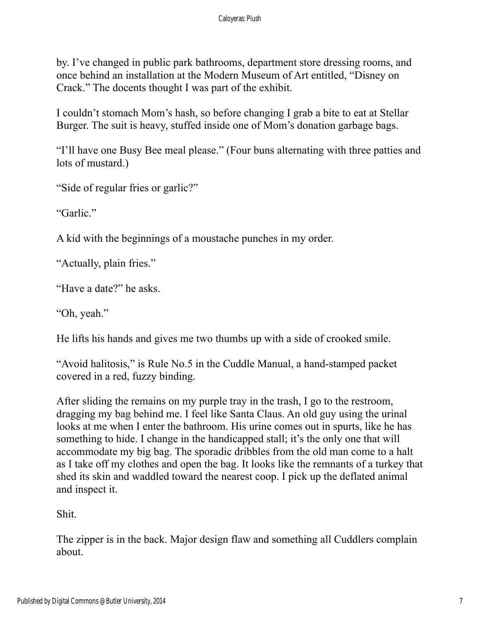by. I've changed in public park bathrooms, department store dressing rooms, and once behind an installation at the Modern Museum of Art entitled, "Disney on Crack." The docents thought I was part of the exhibit.

I couldn't stomach Mom's hash, so before changing I grab a bite to eat at Stellar Burger. The suit is heavy, stuffed inside one of Mom's donation garbage bags.

"I'll have one Busy Bee meal please." (Four buns alternating with three patties and lots of mustard.)

"Side of regular fries or garlic?"

"Garlic."

A kid with the beginnings of a moustache punches in my order.

"Actually, plain fries."

"Have a date?" he asks.

"Oh, yeah."

He lifts his hands and gives me two thumbs up with a side of crooked smile.

"Avoid halitosis," is Rule No.5 in the Cuddle Manual, a hand-stamped packet covered in a red, fuzzy binding.

After sliding the remains on my purple tray in the trash, I go to the restroom, dragging my bag behind me. I feel like Santa Claus. An old guy using the urinal looks at me when I enter the bathroom. His urine comes out in spurts, like he has something to hide. I change in the handicapped stall; it's the only one that will accommodate my big bag. The sporadic dribbles from the old man come to a halt as I take off my clothes and open the bag. It looks like the remnants of a turkey that shed its skin and waddled toward the nearest coop. I pick up the deflated animal and inspect it.

Shit.

The zipper is in the back. Major design flaw and something all Cuddlers complain about.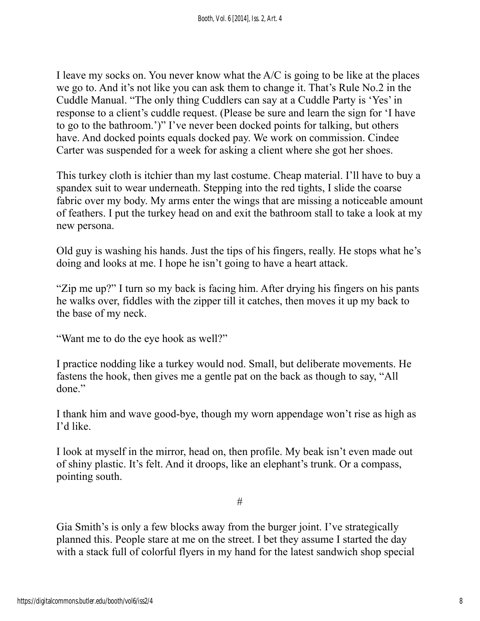I leave my socks on. You never know what the A/C is going to be like at the places we go to. And it's not like you can ask them to change it. That's Rule No.2 in the Cuddle Manual. "The only thing Cuddlers can say at a Cuddle Party is 'Yes' in response to a client's cuddle request. (Please be sure and learn the sign for 'I have to go to the bathroom.')" I've never been docked points for talking, but others have. And docked points equals docked pay. We work on commission. Cindee Carter was suspended for a week for asking a client where she got her shoes.

This turkey cloth is itchier than my last costume. Cheap material. I'll have to buy a spandex suit to wear underneath. Stepping into the red tights, I slide the coarse fabric over my body. My arms enter the wings that are missing a noticeable amount of feathers. I put the turkey head on and exit the bathroom stall to take a look at my new persona.

Old guy is washing his hands. Just the tips of his fingers, really. He stops what he's doing and looks at me. I hope he isn't going to have a heart attack.

"Zip me up?" I turn so my back is facing him. After drying his fingers on his pants he walks over, fiddles with the zipper till it catches, then moves it up my back to the base of my neck.

"Want me to do the eye hook as well?"

I practice nodding like a turkey would nod. Small, but deliberate movements. He fastens the hook, then gives me a gentle pat on the back as though to say, "All done."

I thank him and wave good-bye, though my worn appendage won't rise as high as I'd like.

I look at myself in the mirror, head on, then profile. My beak isn't even made out of shiny plastic. It's felt. And it droops, like an elephant's trunk. Or a compass, pointing south.

#

Gia Smith's is only a few blocks away from the burger joint. I've strategically planned this. People stare at me on the street. I bet they assume I started the day with a stack full of colorful flyers in my hand for the latest sandwich shop special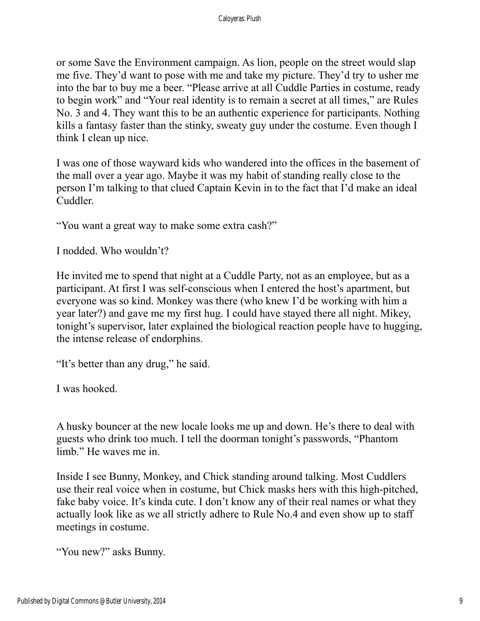or some Save the Environment campaign. As lion, people on the street would slap me five. They'd want to pose with me and take my picture. They'd try to usher me into the bar to buy me a beer. "Please arrive at all Cuddle Parties in costume, ready to begin work" and "Your real identity is to remain a secret at all times," are Rules No. 3 and 4. They want this to be an authentic experience for participants. Nothing kills a fantasy faster than the stinky, sweaty guy under the costume. Even though I think I clean up nice.

I was one of those wayward kids who wandered into the offices in the basement of the mall over a year ago. Maybe it was my habit of standing really close to the person I'm talking to that clued Captain Kevin in to the fact that I'd make an ideal Cuddler.

"You want a great way to make some extra cash?"

I nodded. Who wouldn't?

He invited me to spend that night at a Cuddle Party, not as an employee, but as a participant. At first I was self-conscious when I entered the host's apartment, but everyone was so kind. Monkey was there (who knew I'd be working with him a year later?) and gave me my first hug. I could have stayed there all night. Mikey, tonight's supervisor, later explained the biological reaction people have to hugging, the intense release of endorphins.

"It's better than any drug," he said.

I was hooked.

A husky bouncer at the new locale looks me up and down. He's there to deal with guests who drink too much. I tell the doorman tonight's passwords, "Phantom limb." He waves me in.

Inside I see Bunny, Monkey, and Chick standing around talking. Most Cuddlers use their real voice when in costume, but Chick masks hers with this high-pitched, fake baby voice. It's kinda cute. I don't know any of their real names or what they actually look like as we all strictly adhere to Rule No.4 and even show up to staff meetings in costume.

"You new?" asks Bunny.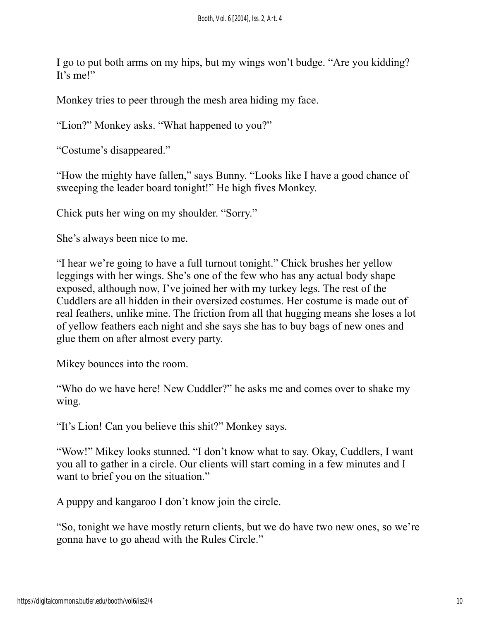I go to put both arms on my hips, but my wings won't budge. "Are you kidding? It's me!"

Monkey tries to peer through the mesh area hiding my face.

"Lion?" Monkey asks. "What happened to you?"

"Costume's disappeared."

"How the mighty have fallen," says Bunny. "Looks like I have a good chance of sweeping the leader board tonight!" He high fives Monkey.

Chick puts her wing on my shoulder. "Sorry."

She's always been nice to me.

"I hear we're going to have a full turnout tonight." Chick brushes her yellow leggings with her wings. She's one of the few who has any actual body shape exposed, although now, I've joined her with my turkey legs. The rest of the Cuddlers are all hidden in their oversized costumes. Her costume is made out of real feathers, unlike mine. The friction from all that hugging means she loses a lot of yellow feathers each night and she says she has to buy bags of new ones and glue them on after almost every party.

Mikey bounces into the room.

"Who do we have here! New Cuddler?" he asks me and comes over to shake my wing.

"It's Lion! Can you believe this shit?" Monkey says.

"Wow!" Mikey looks stunned. "I don't know what to say. Okay, Cuddlers, I want you all to gather in a circle. Our clients will start coming in a few minutes and I want to brief you on the situation."

A puppy and kangaroo I don't know join the circle.

"So, tonight we have mostly return clients, but we do have two new ones, so we're gonna have to go ahead with the Rules Circle."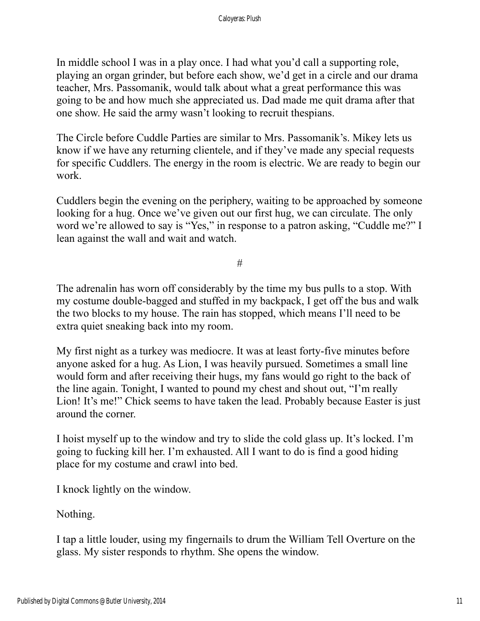In middle school I was in a play once. I had what you'd call a supporting role, playing an organ grinder, but before each show, we'd get in a circle and our drama teacher, Mrs. Passomanik, would talk about what a great performance this was going to be and how much she appreciated us. Dad made me quit drama after that one show. He said the army wasn't looking to recruit thespians.

The Circle before Cuddle Parties are similar to Mrs. Passomanik's. Mikey lets us know if we have any returning clientele, and if they've made any special requests for specific Cuddlers. The energy in the room is electric. We are ready to begin our work.

Cuddlers begin the evening on the periphery, waiting to be approached by someone looking for a hug. Once we've given out our first hug, we can circulate. The only word we're allowed to say is "Yes," in response to a patron asking, "Cuddle me?" I lean against the wall and wait and watch.

#

The adrenalin has worn off considerably by the time my bus pulls to a stop. With my costume double-bagged and stuffed in my backpack, I get off the bus and walk the two blocks to my house. The rain has stopped, which means I'll need to be extra quiet sneaking back into my room.

My first night as a turkey was mediocre. It was at least forty-five minutes before anyone asked for a hug. As Lion, I was heavily pursued. Sometimes a small line would form and after receiving their hugs, my fans would go right to the back of the line again. Tonight, I wanted to pound my chest and shout out, "I'm really Lion! It's me!" Chick seems to have taken the lead. Probably because Easter is just around the corner.

I hoist myself up to the window and try to slide the cold glass up. It's locked. I'm going to fucking kill her. I'm exhausted. All I want to do is find a good hiding place for my costume and crawl into bed.

I knock lightly on the window.

Nothing.

I tap a little louder, using my fingernails to drum the William Tell Overture on the glass. My sister responds to rhythm. She opens the window.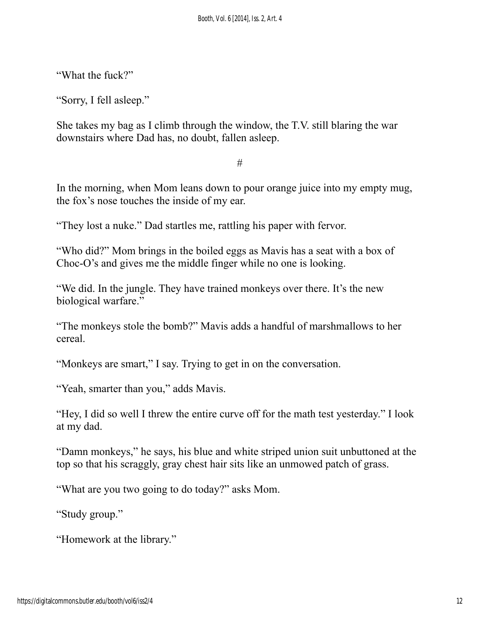"What the fuck?"

"Sorry, I fell asleep."

She takes my bag as I climb through the window, the T.V. still blaring the war downstairs where Dad has, no doubt, fallen asleep.

#

In the morning, when Mom leans down to pour orange juice into my empty mug, the fox's nose touches the inside of my ear.

"They lost a nuke." Dad startles me, rattling his paper with fervor.

"Who did?" Mom brings in the boiled eggs as Mavis has a seat with a box of Choc-O's and gives me the middle finger while no one is looking.

"We did. In the jungle. They have trained monkeys over there. It's the new biological warfare."

"The monkeys stole the bomb?" Mavis adds a handful of marshmallows to her cereal.

"Monkeys are smart," I say. Trying to get in on the conversation.

"Yeah, smarter than you," adds Mavis.

"Hey, I did so well I threw the entire curve off for the math test yesterday." I look at my dad.

"Damn monkeys," he says, his blue and white striped union suit unbuttoned at the top so that his scraggly, gray chest hair sits like an unmowed patch of grass.

"What are you two going to do today?" asks Mom.

"Study group."

"Homework at the library."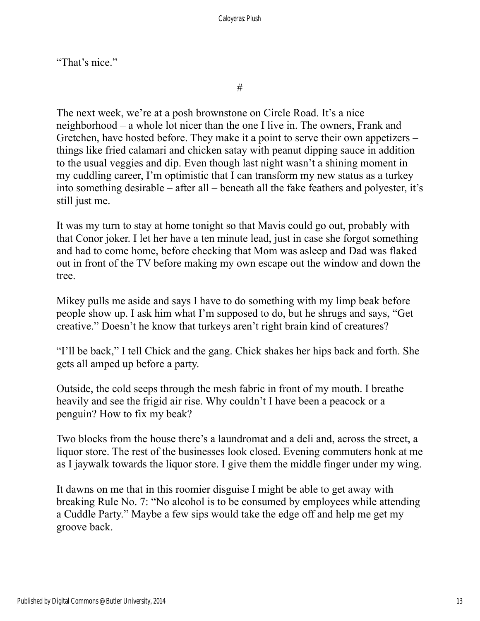"That's nice."

#

The next week, we're at a posh brownstone on Circle Road. It's a nice neighborhood – a whole lot nicer than the one I live in. The owners, Frank and Gretchen, have hosted before. They make it a point to serve their own appetizers – things like fried calamari and chicken satay with peanut dipping sauce in addition to the usual veggies and dip. Even though last night wasn't a shining moment in my cuddling career, I'm optimistic that I can transform my new status as a turkey into something desirable – after all – beneath all the fake feathers and polyester, it's still just me.

It was my turn to stay at home tonight so that Mavis could go out, probably with that Conor joker. I let her have a ten minute lead, just in case she forgot something and had to come home, before checking that Mom was asleep and Dad was flaked out in front of the TV before making my own escape out the window and down the tree.

Mikey pulls me aside and says I have to do something with my limp beak before people show up. I ask him what I'm supposed to do, but he shrugs and says, "Get creative." Doesn't he know that turkeys aren't right brain kind of creatures?

"I'll be back," I tell Chick and the gang. Chick shakes her hips back and forth. She gets all amped up before a party.

Outside, the cold seeps through the mesh fabric in front of my mouth. I breathe heavily and see the frigid air rise. Why couldn't I have been a peacock or a penguin? How to fix my beak?

Two blocks from the house there's a laundromat and a deli and, across the street, a liquor store. The rest of the businesses look closed. Evening commuters honk at me as I jaywalk towards the liquor store. I give them the middle finger under my wing.

It dawns on me that in this roomier disguise I might be able to get away with breaking Rule No. 7: "No alcohol is to be consumed by employees while attending a Cuddle Party." Maybe a few sips would take the edge off and help me get my groove back.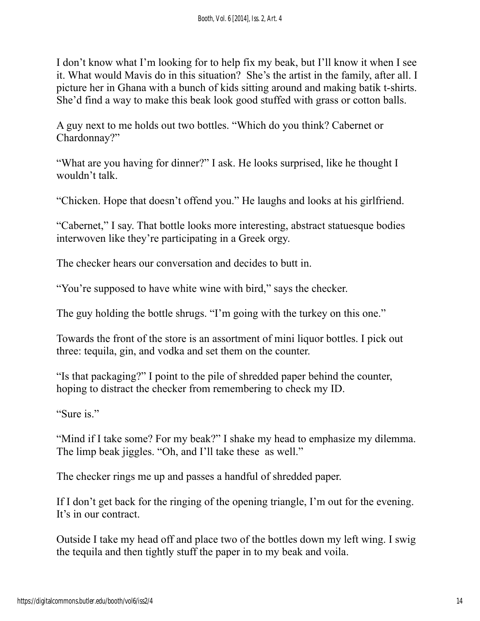I don't know what I'm looking for to help fix my beak, but I'll know it when I see it. What would Mavis do in this situation? She's the artist in the family, after all. I picture her in Ghana with a bunch of kids sitting around and making batik t-shirts. She'd find a way to make this beak look good stuffed with grass or cotton balls.

A guy next to me holds out two bottles. "Which do you think? Cabernet or Chardonnay?"

"What are you having for dinner?" I ask. He looks surprised, like he thought I wouldn't talk.

"Chicken. Hope that doesn't offend you." He laughs and looks at his girlfriend.

"Cabernet," I say. That bottle looks more interesting, abstract statuesque bodies interwoven like they're participating in a Greek orgy.

The checker hears our conversation and decides to butt in.

"You're supposed to have white wine with bird," says the checker.

The guy holding the bottle shrugs. "I'm going with the turkey on this one."

Towards the front of the store is an assortment of mini liquor bottles. I pick out three: tequila, gin, and vodka and set them on the counter.

"Is that packaging?" I point to the pile of shredded paper behind the counter, hoping to distract the checker from remembering to check my ID.

"Sure is."

"Mind if I take some? For my beak?" I shake my head to emphasize my dilemma. The limp beak jiggles. "Oh, and I'll take these as well."

The checker rings me up and passes a handful of shredded paper.

If I don't get back for the ringing of the opening triangle, I'm out for the evening. It's in our contract.

Outside I take my head off and place two of the bottles down my left wing. I swig the tequila and then tightly stuff the paper in to my beak and voila.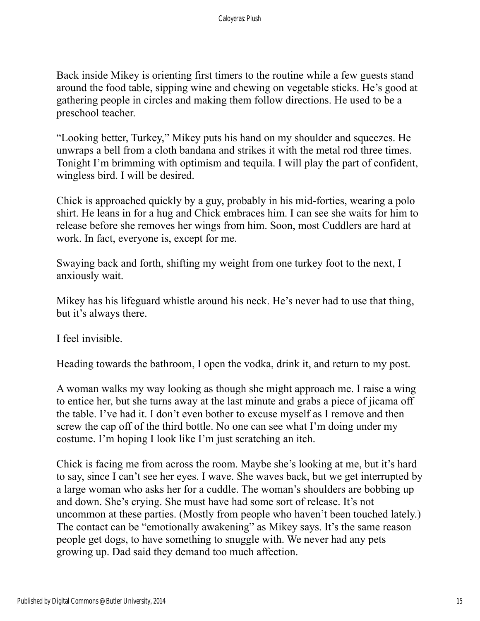Back inside Mikey is orienting first timers to the routine while a few guests stand around the food table, sipping wine and chewing on vegetable sticks. He's good at gathering people in circles and making them follow directions. He used to be a preschool teacher.

"Looking better, Turkey," Mikey puts his hand on my shoulder and squeezes. He unwraps a bell from a cloth bandana and strikes it with the metal rod three times. Tonight I'm brimming with optimism and tequila. I will play the part of confident, wingless bird. I will be desired.

Chick is approached quickly by a guy, probably in his mid-forties, wearing a polo shirt. He leans in for a hug and Chick embraces him. I can see she waits for him to release before she removes her wings from him. Soon, most Cuddlers are hard at work. In fact, everyone is, except for me.

Swaying back and forth, shifting my weight from one turkey foot to the next, I anxiously wait.

Mikey has his lifeguard whistle around his neck. He's never had to use that thing, but it's always there.

I feel invisible.

Heading towards the bathroom, I open the vodka, drink it, and return to my post.

A woman walks my way looking as though she might approach me. I raise a wing to entice her, but she turns away at the last minute and grabs a piece of jicama off the table. I've had it. I don't even bother to excuse myself as I remove and then screw the cap off of the third bottle. No one can see what I'm doing under my costume. I'm hoping I look like I'm just scratching an itch.

Chick is facing me from across the room. Maybe she's looking at me, but it's hard to say, since I can't see her eyes. I wave. She waves back, but we get interrupted by a large woman who asks her for a cuddle. The woman's shoulders are bobbing up and down. She's crying. She must have had some sort of release. It's not uncommon at these parties. (Mostly from people who haven't been touched lately.) The contact can be "emotionally awakening" as Mikey says. It's the same reason people get dogs, to have something to snuggle with. We never had any pets growing up. Dad said they demand too much affection.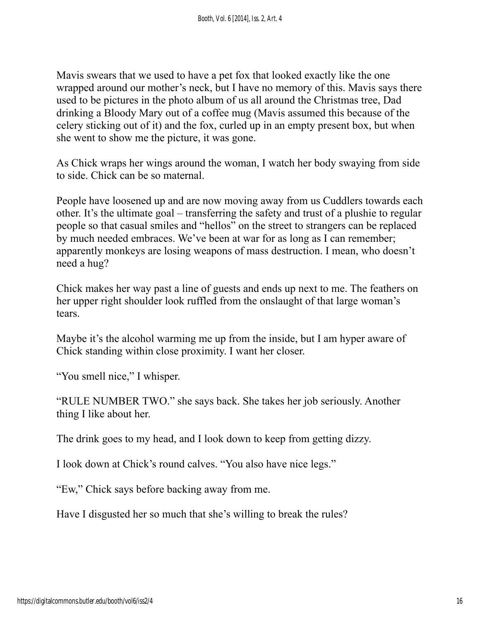Mavis swears that we used to have a pet fox that looked exactly like the one wrapped around our mother's neck, but I have no memory of this. Mavis says there used to be pictures in the photo album of us all around the Christmas tree, Dad drinking a Bloody Mary out of a coffee mug (Mavis assumed this because of the celery sticking out of it) and the fox, curled up in an empty present box, but when she went to show me the picture, it was gone.

As Chick wraps her wings around the woman, I watch her body swaying from side to side. Chick can be so maternal.

People have loosened up and are now moving away from us Cuddlers towards each other. It's the ultimate goal – transferring the safety and trust of a plushie to regular people so that casual smiles and "hellos" on the street to strangers can be replaced by much needed embraces. We've been at war for as long as I can remember; apparently monkeys are losing weapons of mass destruction. I mean, who doesn't need a hug?

Chick makes her way past a line of guests and ends up next to me. The feathers on her upper right shoulder look ruffled from the onslaught of that large woman's tears.

Maybe it's the alcohol warming me up from the inside, but I am hyper aware of Chick standing within close proximity. I want her closer.

"You smell nice," I whisper.

"RULE NUMBER TWO." she says back. She takes her job seriously. Another thing I like about her.

The drink goes to my head, and I look down to keep from getting dizzy.

I look down at Chick's round calves. "You also have nice legs."

"Ew," Chick says before backing away from me.

Have I disgusted her so much that she's willing to break the rules?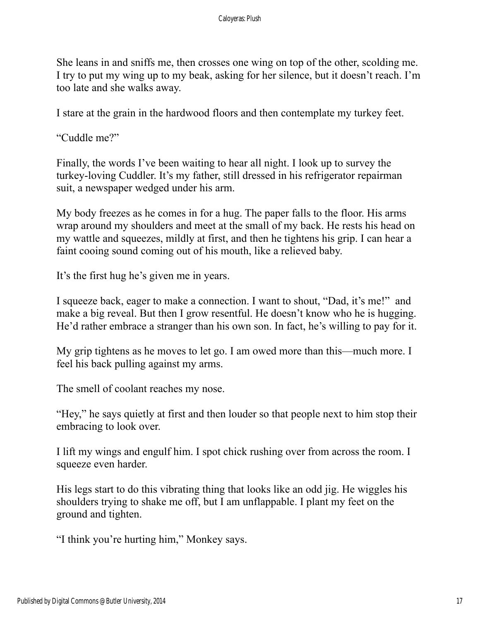She leans in and sniffs me, then crosses one wing on top of the other, scolding me. I try to put my wing up to my beak, asking for her silence, but it doesn't reach. I'm too late and she walks away.

I stare at the grain in the hardwood floors and then contemplate my turkey feet.

"Cuddle me?"

Finally, the words I've been waiting to hear all night. I look up to survey the turkey-loving Cuddler. It's my father, still dressed in his refrigerator repairman suit, a newspaper wedged under his arm.

My body freezes as he comes in for a hug. The paper falls to the floor. His arms wrap around my shoulders and meet at the small of my back. He rests his head on my wattle and squeezes, mildly at first, and then he tightens his grip. I can hear a faint cooing sound coming out of his mouth, like a relieved baby.

It's the first hug he's given me in years.

I squeeze back, eager to make a connection. I want to shout, "Dad, it's me!" and make a big reveal. But then I grow resentful. He doesn't know who he is hugging. He'd rather embrace a stranger than his own son. In fact, he's willing to pay for it.

My grip tightens as he moves to let go. I am owed more than this—much more. I feel his back pulling against my arms.

The smell of coolant reaches my nose.

"Hey," he says quietly at first and then louder so that people next to him stop their embracing to look over.

I lift my wings and engulf him. I spot chick rushing over from across the room. I squeeze even harder.

His legs start to do this vibrating thing that looks like an odd jig. He wiggles his shoulders trying to shake me off, but I am unflappable. I plant my feet on the ground and tighten.

"I think you're hurting him," Monkey says.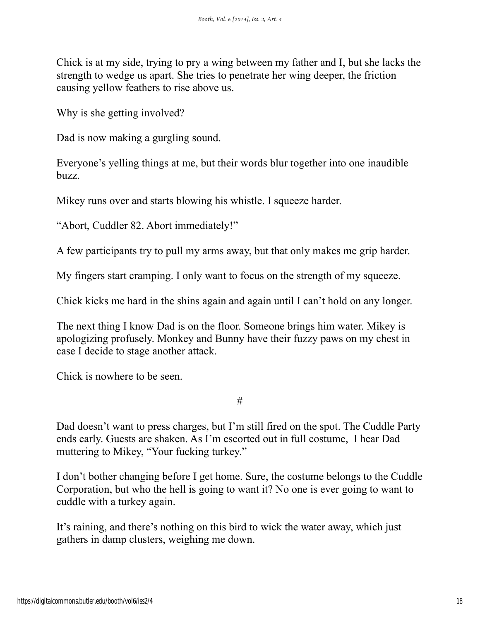Chick is at my side, trying to pry a wing between my father and I, but she lacks the strength to wedge us apart. She tries to penetrate her wing deeper, the friction causing yellow feathers to rise above us.

Why is she getting involved?

Dad is now making a gurgling sound.

Everyone's yelling things at me, but their words blur together into one inaudible buzz.

Mikey runs over and starts blowing his whistle. I squeeze harder.

"Abort, Cuddler 82. Abort immediately!"

A few participants try to pull my arms away, but that only makes me grip harder.

My fingers start cramping. I only want to focus on the strength of my squeeze.

Chick kicks me hard in the shins again and again until I can't hold on any longer.

The next thing I know Dad is on the floor. Someone brings him water. Mikey is apologizing profusely. Monkey and Bunny have their fuzzy paws on my chest in case I decide to stage another attack.

Chick is nowhere to be seen.

#

Dad doesn't want to press charges, but I'm still fired on the spot. The Cuddle Party ends early. Guests are shaken. As I'm escorted out in full costume, I hear Dad muttering to Mikey, "Your fucking turkey."

I don't bother changing before I get home. Sure, the costume belongs to the Cuddle Corporation, but who the hell is going to want it? No one is ever going to want to cuddle with a turkey again.

It's raining, and there's nothing on this bird to wick the water away, which just gathers in damp clusters, weighing me down.